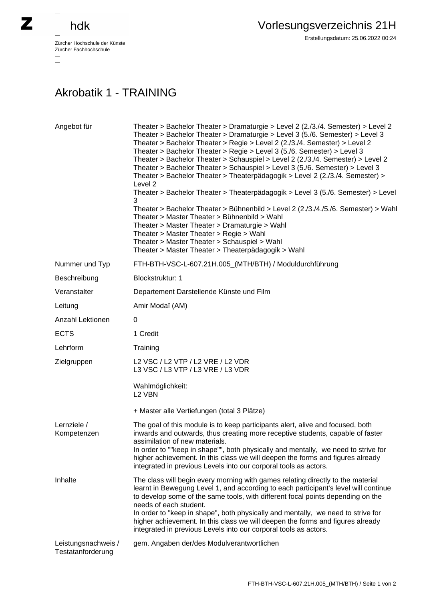## hdk

—

 $\equiv$ 

Zürcher Hochschule der Künste Zürcher Fachhochschule —

## Akrobatik 1 - TRAINING

| Angebot für                              | Theater > Bachelor Theater > Dramaturgie > Level 2 (2./3./4. Semester) > Level 2<br>Theater > Bachelor Theater > Dramaturgie > Level 3 (5./6. Semester) > Level 3<br>Theater > Bachelor Theater > Regie > Level 2 (2./3./4. Semester) > Level 2<br>Theater > Bachelor Theater > Regie > Level 3 (5./6. Semester) > Level 3<br>Theater > Bachelor Theater > Schauspiel > Level 2 (2./3./4. Semester) > Level 2<br>Theater > Bachelor Theater > Schauspiel > Level 3 (5./6. Semester) > Level 3<br>Theater > Bachelor Theater > Theaterpädagogik > Level 2 (2./3./4. Semester) ><br>Level 2<br>Theater > Bachelor Theater > Theaterpädagogik > Level 3 (5./6. Semester) > Level<br>3<br>Theater > Bachelor Theater > Bühnenbild > Level 2 (2./3./4./5./6. Semester) > Wahl<br>Theater > Master Theater > Bühnenbild > Wahl<br>Theater > Master Theater > Dramaturgie > Wahl<br>Theater > Master Theater > Regie > Wahl<br>Theater > Master Theater > Schauspiel > Wahl<br>Theater > Master Theater > Theaterpädagogik > Wahl |
|------------------------------------------|----------------------------------------------------------------------------------------------------------------------------------------------------------------------------------------------------------------------------------------------------------------------------------------------------------------------------------------------------------------------------------------------------------------------------------------------------------------------------------------------------------------------------------------------------------------------------------------------------------------------------------------------------------------------------------------------------------------------------------------------------------------------------------------------------------------------------------------------------------------------------------------------------------------------------------------------------------------------------------------------------------------------------|
| Nummer und Typ                           | FTH-BTH-VSC-L-607.21H.005_(MTH/BTH) / Moduldurchführung                                                                                                                                                                                                                                                                                                                                                                                                                                                                                                                                                                                                                                                                                                                                                                                                                                                                                                                                                                    |
| Beschreibung                             | Blockstruktur: 1                                                                                                                                                                                                                                                                                                                                                                                                                                                                                                                                                                                                                                                                                                                                                                                                                                                                                                                                                                                                           |
| Veranstalter                             | Departement Darstellende Künste und Film                                                                                                                                                                                                                                                                                                                                                                                                                                                                                                                                                                                                                                                                                                                                                                                                                                                                                                                                                                                   |
| Leitung                                  | Amir Modaï (AM)                                                                                                                                                                                                                                                                                                                                                                                                                                                                                                                                                                                                                                                                                                                                                                                                                                                                                                                                                                                                            |
| Anzahl Lektionen                         | 0                                                                                                                                                                                                                                                                                                                                                                                                                                                                                                                                                                                                                                                                                                                                                                                                                                                                                                                                                                                                                          |
| <b>ECTS</b>                              | 1 Credit                                                                                                                                                                                                                                                                                                                                                                                                                                                                                                                                                                                                                                                                                                                                                                                                                                                                                                                                                                                                                   |
| Lehrform                                 | Training                                                                                                                                                                                                                                                                                                                                                                                                                                                                                                                                                                                                                                                                                                                                                                                                                                                                                                                                                                                                                   |
| Zielgruppen                              | L2 VSC / L2 VTP / L2 VRE / L2 VDR<br>L3 VSC / L3 VTP / L3 VRE / L3 VDR                                                                                                                                                                                                                                                                                                                                                                                                                                                                                                                                                                                                                                                                                                                                                                                                                                                                                                                                                     |
|                                          | Wahlmöglichkeit:<br>L <sub>2</sub> VBN                                                                                                                                                                                                                                                                                                                                                                                                                                                                                                                                                                                                                                                                                                                                                                                                                                                                                                                                                                                     |
|                                          | + Master alle Vertiefungen (total 3 Plätze)                                                                                                                                                                                                                                                                                                                                                                                                                                                                                                                                                                                                                                                                                                                                                                                                                                                                                                                                                                                |
| Lernziele /<br>Kompetenzen               | The goal of this module is to keep participants alert, alive and focused, both<br>inwards and outwards, thus creating more receptive students, capable of faster<br>assimilation of new materials.<br>In order to ""keep in shape"", both physically and mentally, we need to strive for<br>higher achievement. In this class we will deepen the forms and figures already                                                                                                                                                                                                                                                                                                                                                                                                                                                                                                                                                                                                                                                 |
|                                          | integrated in previous Levels into our corporal tools as actors.                                                                                                                                                                                                                                                                                                                                                                                                                                                                                                                                                                                                                                                                                                                                                                                                                                                                                                                                                           |
| Inhalte                                  | The class will begin every morning with games relating directly to the material<br>learnt in Bewegung Level 1, and according to each participant's level will continue<br>to develop some of the same tools, with different focal points depending on the<br>needs of each student.<br>In order to "keep in shape", both physically and mentally, we need to strive for<br>higher achievement. In this class we will deepen the forms and figures already<br>integrated in previous Levels into our corporal tools as actors.                                                                                                                                                                                                                                                                                                                                                                                                                                                                                              |
| Leistungsnachweis /<br>Testatanforderung | gem. Angaben der/des Modulverantwortlichen                                                                                                                                                                                                                                                                                                                                                                                                                                                                                                                                                                                                                                                                                                                                                                                                                                                                                                                                                                                 |